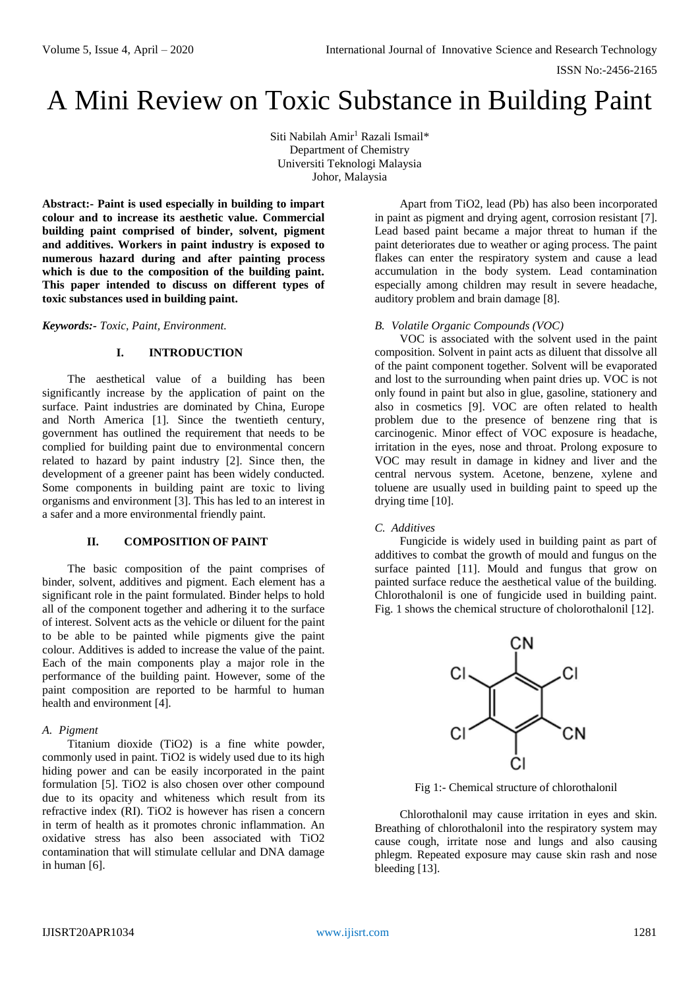# A Mini Review on Toxic Substance in Building Paint

Siti Nabilah Amir<sup>1</sup> Razali Ismail\* Department of Chemistry Universiti Teknologi Malaysia Johor, Malaysia

**Abstract:- Paint is used especially in building to impart colour and to increase its aesthetic value. Commercial building paint comprised of binder, solvent, pigment and additives. Workers in paint industry is exposed to numerous hazard during and after painting process which is due to the composition of the building paint. This paper intended to discuss on different types of toxic substances used in building paint.**

*Keywords:- Toxic, Paint, Environment.*

# **I. INTRODUCTION**

The aesthetical value of a building has been significantly increase by the application of paint on the surface. Paint industries are dominated by China, Europe and North America [1]. Since the twentieth century, government has outlined the requirement that needs to be complied for building paint due to environmental concern related to hazard by paint industry [2]. Since then, the development of a greener paint has been widely conducted. Some components in building paint are toxic to living organisms and environment [3]. This has led to an interest in a safer and a more environmental friendly paint.

### **II. COMPOSITION OF PAINT**

The basic composition of the paint comprises of binder, solvent, additives and pigment. Each element has a significant role in the paint formulated. Binder helps to hold all of the component together and adhering it to the surface of interest. Solvent acts as the vehicle or diluent for the paint to be able to be painted while pigments give the paint colour. Additives is added to increase the value of the paint. Each of the main components play a major role in the performance of the building paint. However, some of the paint composition are reported to be harmful to human health and environment [4].

### *A. Pigment*

Titanium dioxide (TiO2) is a fine white powder, commonly used in paint. TiO2 is widely used due to its high hiding power and can be easily incorporated in the paint formulation [5]. TiO2 is also chosen over other compound due to its opacity and whiteness which result from its refractive index (RI). TiO2 is however has risen a concern in term of health as it promotes chronic inflammation. An oxidative stress has also been associated with TiO2 contamination that will stimulate cellular and DNA damage in human [6].

Apart from TiO2, lead (Pb) has also been incorporated in paint as pigment and drying agent, corrosion resistant [7]. Lead based paint became a major threat to human if the paint deteriorates due to weather or aging process. The paint flakes can enter the respiratory system and cause a lead accumulation in the body system. Lead contamination especially among children may result in severe headache, auditory problem and brain damage [8].

## *B. Volatile Organic Compounds (VOC)*

VOC is associated with the solvent used in the paint composition. Solvent in paint acts as diluent that dissolve all of the paint component together. Solvent will be evaporated and lost to the surrounding when paint dries up. VOC is not only found in paint but also in glue, gasoline, stationery and also in cosmetics [9]. VOC are often related to health problem due to the presence of benzene ring that is carcinogenic. Minor effect of VOC exposure is headache, irritation in the eyes, nose and throat. Prolong exposure to VOC may result in damage in kidney and liver and the central nervous system. Acetone, benzene, xylene and toluene are usually used in building paint to speed up the drying time [10].

### *C. Additives*

Fungicide is widely used in building paint as part of additives to combat the growth of mould and fungus on the surface painted [11]. Mould and fungus that grow on painted surface reduce the aesthetical value of the building. Chlorothalonil is one of fungicide used in building paint. Fig. 1 shows the chemical structure of cholorothalonil [12].



Fig 1:- Chemical structure of chlorothalonil

Chlorothalonil may cause irritation in eyes and skin. Breathing of chlorothalonil into the respiratory system may cause cough, irritate nose and lungs and also causing phlegm. Repeated exposure may cause skin rash and nose bleeding [13].